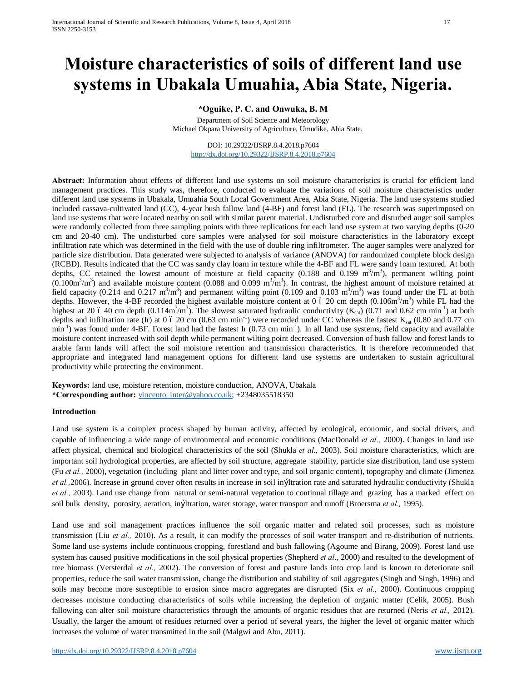# **Moisture characteristics of soils of different land use systems in Ubakala Umuahia, Abia State, Nigeria.**

# **\*Oguike, P. C. and Onwuka, B. M**

Department of Soil Science and Meteorology Michael Okpara University of Agriculture, Umudike, Abia State.

DOI: 10.29322/IJSRP.8.4.2018.p7604 http://dx.doi.org/10.29322/IJSRP.8.4.2018.p7604

**Abstract:** Information about effects of different land use systems on soil moisture characteristics is crucial for efficient land management practices. This study was, therefore, conducted to evaluate the variations of soil moisture characteristics under different land use systems in Ubakala, Umuahia South Local Government Area, Abia State, Nigeria. The land use systems studied included cassava-cultivated land (CC), 4-year bush fallow land (4-BF) and forest land (FL). The research was superimposed on land use systems that were located nearby on soil with similar parent material. Undisturbed core and disturbed auger soil samples were randomly collected from three sampling points with three replications for each land use system at two varying depths (0-20 cm and 20-40 cm). The undisturbed core samples were analysed for soil moisture characteristics in the laboratory except infiltration rate which was determined in the field with the use of double ring infiltrometer. The auger samples were analyzed for particle size distribution. Data generated were subjected to analysis of variance (ANOVA) for randomized complete block design (RCBD). Results indicated that the CC was sandy clay loam in texture while the 4-BF and FL were sandy loam textured. At both depths, CC retained the lowest amount of moisture at field capacity (0.188 and 0.199 m<sup>3</sup>/m<sup>3</sup>), permanent wilting point  $(0.100m<sup>3</sup>/m<sup>3</sup>)$  and available moisture content (0.088 and 0.099 m<sup>3</sup>/m<sup>3</sup>). In contrast, the highest amount of moisture retained at field capacity (0.214 and 0.217 m<sup>3</sup>/m<sup>3</sup>) and permanent wilting point (0.109 and 0.103 m<sup>3</sup>/m<sup>3</sup>) was found under the FL at both depths. However, the 4-BF recorded the highest available moisture content at 0 6 20 cm depth  $(0.106m^3/m^3)$  while FL had the highest at 20 6 40 cm depth  $(0.114m^3/m^3)$ . The slowest saturated hydraulic conductivity  $(K_{sat})$   $(0.71$  and  $0.62$  cm min<sup>-1</sup>) at both depths and infiltration rate (Ir) at 0 6 20 cm (0.63 cm min<sup>-1</sup>) were recorded under CC whereas the fastest  $K_{sat}$  (0.80 and 0.77 cm min<sup>-1</sup>) was found under 4-BF. Forest land had the fastest Ir (0.73 cm min<sup>-1</sup>). In all land use systems, field capacity and available moisture content increased with soil depth while permanent wilting point decreased. Conversion of bush fallow and forest lands to arable farm lands will affect the soil moisture retention and transmission characteristics. It is therefore recommended that appropriate and integrated land management options for different land use systems are undertaken to sustain agricultural productivity while protecting the environment.

**Keywords:** land use, moisture retention, moisture conduction, ANOVA, Ubakala **\*Corresponding author:** vincento\_inter@yahoo.co.uk; +2348035518350

## **Introduction**

Land use system is a complex process shaped by human activity, affected by ecological, economic, and social drivers, and capable of influencing a wide range of environmental and economic conditions (MacDonald *et al.,* 2000). Changes in land use affect physical, chemical and biological characteristics of the soil (Shukla *et al.,* 2003). Soil moisture characteristics, which are important soil hydrological properties, are affected by soil structure, aggregate stability, particle size distribution, land use system (Fu *et al.,* 2000), vegetation (including plant and litter cover and type, and soil organic content), topography and climate (Jimenez *et al.*, 2006). Increase in ground cover often results in increase in soil in Latration rate and saturated hydraulic conductivity (Shukla *et al.,* 2003). Land use change from natural or semi-natural vegetation to continual tillage and grazing has a marked effect on soil bulk density, porosity, aeration, infiltration, water storage, water transport and runoff (Broersma *et al.,* 1995).

Land use and soil management practices influence the soil organic matter and related soil processes, such as moisture transmission (Liu *et al.,* 2010). As a result, it can modify the processes of soil water transport and re-distribution of nutrients. Some land use systems include continuous cropping, forestland and bush fallowing (Agoume and Birang, 2009). Forest land use system has caused positive modifications in the soil physical properties (Shepherd *et al*., 2000) and resulted to the development of tree biomass (Versterdal *et al.,* 2002). The conversion of forest and pasture lands into crop land is known to deteriorate soil properties, reduce the soil water transmission, change the distribution and stability of soil aggregates (Singh and Singh, 1996) and soils may become more susceptible to erosion since macro aggregates are disrupted (Six *et al.,* 2000). Continuous cropping decreases moisture conducting characteristics of soils while increasing the depletion of organic matter (Celik, 2005). Bush fallowing can alter soil moisture characteristics through the amounts of organic residues that are returned (Neris *et al.,* 2012). Usually, the larger the amount of residues returned over a period of several years, the higher the level of organic matter which increases the volume of water transmitted in the soil (Malgwi and Abu, 2011).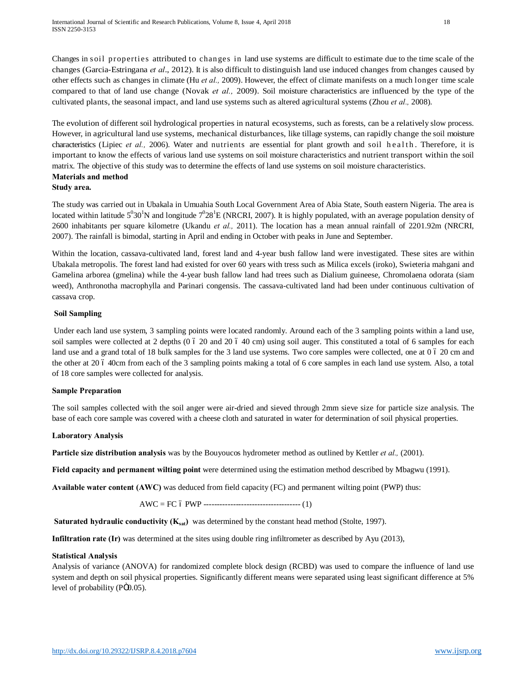Changes in soil properties attributed to changes in land use systems are difficult to estimate due to the time scale of the changes (Garcia-Estringana *et al*., 2012). It is also difficult to distinguish land use induced changes from changes caused by other effects such as changes in climate (Hu *et al.,* 2009). However, the effect of climate manifests on a much longer time scale compared to that of land use change (Novak *et al.,* 2009). Soil moisture characteristics are influenced by the type of the cultivated plants, the seasonal impact, and land use systems such as altered agricultural systems (Zhou *et al.,* 2008).

The evolution of different soil hydrological properties in natural ecosystems, such as forests, can be a relatively slow process. However, in agricultural land use systems, mechanical disturbances, like tillage systems, can rapidly change the soil moisture characteristics (Lipiec *et al.,* 2006). Water and nutrients are essential for plant growth and soil h e alth. Therefore, it is important to know the effects of various land use systems on soil moisture characteristics and nutrient transport within the soil matrix. The objective of this study was to determine the effects of land use systems on soil moisture characteristics. **Materials and method**

## **Study area.**

The study was carried out in Ubakala in Umuahia South Local Government Area of Abia State, South eastern Nigeria. The area is located within latitude  $5^030^1$ N and longitude  $7^028^1$ E (NRCRI, 2007). It is highly populated, with an average population density of 2600 inhabitants per square kilometre (Ukandu *et al.,* 2011). The location has a mean annual rainfall of 2201.92m (NRCRI, 2007). The rainfall is bimodal, starting in April and ending in October with peaks in June and September.

Within the location, cassava-cultivated land, forest land and 4-year bush fallow land were investigated. These sites are within Ubakala metropolis. The forest land had existed for over 60 years with tress such as Milica excels (iroko), Swieteria mahgani and Gamelina arborea (gmelina) while the 4-year bush fallow land had trees such as Dialium guineese, Chromolaena odorata (siam weed), Anthronotha macrophylla and Parinari congensis. The cassava-cultivated land had been under continuous cultivation of cassava crop.

### **Soil Sampling**

Under each land use system, 3 sampling points were located randomly. Around each of the 3 sampling points within a land use, soil samples were collected at 2 depths  $(0 6 20$  and  $20 6 40$  cm) using soil auger. This constituted a total of 6 samples for each land use and a grand total of 18 bulk samples for the 3 land use systems. Two core samples were collected, one at 0 6 20 cm and the other at 20 6 40cm from each of the 3 sampling points making a total of 6 core samples in each land use system. Also, a total of 18 core samples were collected for analysis.

## **Sample Preparation**

The soil samples collected with the soil anger were air-dried and sieved through 2mm sieve size for particle size analysis. The base of each core sample was covered with a cheese cloth and saturated in water for determination of soil physical properties.

## **Laboratory Analysis**

**Particle size distribution analysis** was by the Bouyoucos hydrometer method as outlined by Kettler *et al.,* (2001).

**Field capacity and permanent wilting point** were determined using the estimation method described by Mbagwu (1991).

**Available water content (AWC)** was deduced from field capacity (FC) and permanent wilting point (PWP) thus:

AWC = FC – PWP ------------------------------------ (1)

**Saturated hydraulic conductivity (K<sub>sat</sub>)** was determined by the constant head method (Stolte, 1997).

**Infiltration rate (Ir)** was determined at the sites using double ring infiltrometer as described by Ayu (2013),

#### **Statistical Analysis**

Analysis of variance (ANOVA) for randomized complete block design (RCBD) was used to compare the influence of land use system and depth on soil physical properties. Significantly different means were separated using least significant difference at 5% level of probability  $(P\ddot{\text{O}}0.05)$ .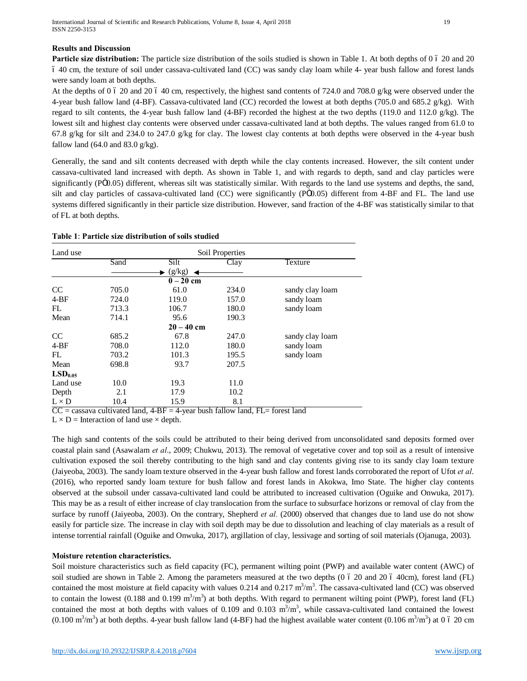#### **Results and Discussion**

**Particle size distribution:** The particle size distribution of the soils studied is shown in Table 1. At both depths of 0 6 20 and 20 – 40 cm, the texture of soil under cassava-cultivated land (CC) was sandy clay loam while 4- year bush fallow and forest lands were sandy loam at both depths.

At the depths of 0 6 20 and 20 6 40 cm, respectively, the highest sand contents of 724.0 and 708.0 g/kg were observed under the 4-year bush fallow land (4-BF). Cassava-cultivated land (CC) recorded the lowest at both depths (705.0 and 685.2 g/kg). With regard to silt contents, the 4-year bush fallow land (4-BF) recorded the highest at the two depths (119.0 and 112.0 g/kg). The lowest silt and highest clay contents were observed under cassava-cultivated land at both depths. The values ranged from 61.0 to 67.8 g/kg for silt and 234.0 to 247.0 g/kg for clay. The lowest clay contents at both depths were observed in the 4-year bush fallow land  $(64.0 \text{ and } 83.0 \text{ g/kg})$ .

Generally, the sand and silt contents decreased with depth while the clay contents increased. However, the silt content under cassava-cultivated land increased with depth. As shown in Table 1, and with regards to depth, sand and clay particles were significantly (PÖ0.05) different, whereas silt was statistically similar. With regards to the land use systems and depths, the sand, silt and clay particles of cassava-cultivated land (CC) were significantly (PÖ0.05) different from 4-BF and FL. The land use systems differed significantly in their particle size distribution. However, sand fraction of the 4-BF was statistically similar to that of FL at both depths.

| Table 1: Particle size distribution of soils studied |
|------------------------------------------------------|
|------------------------------------------------------|

| Land use            |       |              | Soil Properties |                 |
|---------------------|-------|--------------|-----------------|-----------------|
|                     | Sand  | Silt         | Clay            | Texture         |
|                     |       | (g/kg)       |                 |                 |
|                     |       | $0-20$ cm    |                 |                 |
| CC                  | 705.0 | 61.0         | 234.0           | sandy clay loam |
| $4-BF$              | 724.0 | 119.0        | 157.0           | sandy loam      |
| FL                  | 713.3 | 106.7        | 180.0           | sandy loam      |
| Mean                | 714.1 | 95.6         | 190.3           |                 |
|                     |       | $20 - 40$ cm |                 |                 |
| CC                  | 685.2 | 67.8         | 247.0           | sandy clay loam |
| $4-BF$              | 708.0 | 112.0        | 180.0           | sandy loam      |
| FL.                 | 703.2 | 101.3        | 195.5           | sandy loam      |
| Mean                | 698.8 | 93.7         | 207.5           |                 |
| LSD <sub>0.05</sub> |       |              |                 |                 |
| Land use            | 10.0  | 19.3         | 11.0            |                 |
| Depth               | 2.1   | 17.9         | 10.2            |                 |
| $L \times D$        | 10.4  | 15.9         | 8.1             |                 |

 $\overline{CC}$  = cassava cultivated land,  $4-BF = 4$ -year bush fallow land,  $FL =$  forest land

 $L \times D$  = Interaction of land use  $\times$  depth.

The high sand contents of the soils could be attributed to their being derived from unconsolidated sand deposits formed over coastal plain sand (Asawalam *et al*., 2009; Chukwu, 2013). The removal of vegetative cover and top soil as a result of intensive cultivation exposed the soil thereby contributing to the high sand and clay contents giving rise to its sandy clay loam texture (Jaiyeoba, 2003). The sandy loam texture observed in the 4-year bush fallow and forest lands corroborated the report of Ufot *et al*. (2016), who reported sandy loam texture for bush fallow and forest lands in Akokwa, Imo State. The higher clay contents observed at the subsoil under cassava-cultivated land could be attributed to increased cultivation (Oguike and Onwuka, 2017). This may be as a result of either increase of clay translocation from the surface to subsurface horizons or removal of clay from the surface by runoff (Jaiyeoba, 2003). On the contrary, Shepherd *et al.* (2000) observed that changes due to land use do not show easily for particle size. The increase in clay with soil depth may be due to dissolution and leaching of clay materials as a result of intense torrential rainfall (Oguike and Onwuka, 2017), argillation of clay, lessivage and sorting of soil materials (Ojanuga, 2003).

#### **Moisture retention characteristics.**

Soil moisture characteristics such as field capacity (FC), permanent wilting point (PWP) and available water content (AWC) of soil studied are shown in Table 2. Among the parameters measured at the two depths (0 6 20 and 20 6 40cm), forest land (FL) contained the most moisture at field capacity with values  $0.214$  and  $0.217$  m<sup>3</sup>/m<sup>3</sup>. The cassava-cultivated land (CC) was observed to contain the lowest (0.188 and 0.199  $m^3/m^3$ ) at both depths. With regard to permanent wilting point (PWP), forest land (FL) contained the most at both depths with values of 0.109 and 0.103  $m^3/m^3$ , while cassava-cultivated land contained the lowest  $(0.100 \text{ m}^3/\text{m}^3)$  at both depths. 4-year bush fallow land (4-BF) had the highest available water content  $(0.106 \text{ m}^3/\text{m}^3)$  at 0 6 20 cm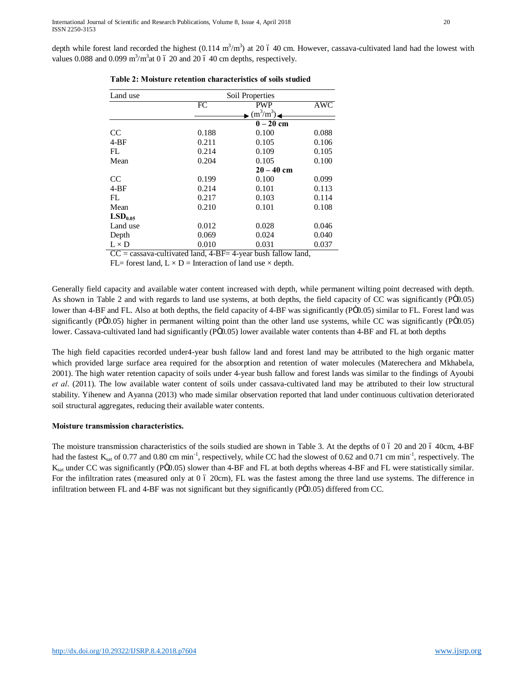| Land use            | Soil Properties |                           |                         |  |
|---------------------|-----------------|---------------------------|-------------------------|--|
|                     | $\overline{FC}$ | PWP                       | $\overline{\text{AWC}}$ |  |
|                     |                 | $\mathbf{m}^3/\text{m}^3$ |                         |  |
|                     |                 | $\overline{0-2}0$ cm      |                         |  |
| <sub>CC</sub>       | 0.188           | 0.100                     | 0.088                   |  |
| $4-BF$              | 0.211           | 0.105                     | 0.106                   |  |
| FL                  | 0.214           | 0.109                     | 0.105                   |  |
| Mean                | 0.204           | 0.105                     | 0.100                   |  |
|                     |                 | $20 - 40$ cm              |                         |  |
| <sub>CC</sub>       | 0.199           | 0.100                     | 0.099                   |  |
| $4-BF$              | 0.214           | 0.101                     | 0.113                   |  |
| FL                  | 0.217           | 0.103                     | 0.114                   |  |
| Mean                | 0.210           | 0.101                     | 0.108                   |  |
| LSD <sub>0.05</sub> |                 |                           |                         |  |
| Land use            | 0.012           | 0.028                     | 0.046                   |  |
| Depth               | 0.069           | 0.024                     | 0.040                   |  |
| $L \times D$        | 0.010           | 0.031                     | 0.037                   |  |

|  |  | Table 2: Moisture retention characteristics of soils studied |  |  |  |  |
|--|--|--------------------------------------------------------------|--|--|--|--|
|--|--|--------------------------------------------------------------|--|--|--|--|

= cassava-cultivated land, 4-BF= 4-year bush fallow land,

FL= forest land,  $L \times D$  = Interaction of land use  $\times$  depth.

Generally field capacity and available water content increased with depth, while permanent wilting point decreased with depth. As shown in Table 2 and with regards to land use systems, at both depths, the field capacity of CC was significantly (P $\ddot{o}0.05$ ) lower than 4-BF and FL. Also at both depths, the field capacity of 4-BF was significantly (PÖ0.05) similar to FL. Forest land was significantly (PÖ0.05) higher in permanent wilting point than the other land use systems, while CC was significantly (PÖ0.05) lower. Cassava-cultivated land had significantly (PÖ0.05) lower available water contents than 4-BF and FL at both depths

The high field capacities recorded under4-year bush fallow land and forest land may be attributed to the high organic matter which provided large surface area required for the absorption and retention of water molecules (Materechera and Mkhabela, 2001). The high water retention capacity of soils under 4-year bush fallow and forest lands was similar to the findings of Ayoubi *et al*. (2011). The low available water content of soils under cassava-cultivated land may be attributed to their low structural stability. Yihenew and Ayanna (2013) who made similar observation reported that land under continuous cultivation deteriorated soil structural aggregates, reducing their available water contents.

# **Moisture transmission characteristics.**

The moisture transmission characteristics of the soils studied are shown in Table 3. At the depths of 0  $\acute{o}$  20 and 20  $\acute{o}$  40cm, 4-BF had the fastest  $K_{sat}$  of 0.77 and 0.80 cm min<sup>-1</sup>, respectively, while CC had the slowest of 0.62 and 0.71 cm min<sup>-1</sup>, respectively. The  $K_{\text{sat}}$  under CC was significantly (PÖ0.05) slower than 4-BF and FL at both depths whereas 4-BF and FL were statistically similar. For the infiltration rates (measured only at 0 6 20cm), FL was the fastest among the three land use systems. The difference in infiltration between FL and 4-BF was not significant but they significantly (PÖ0.05) differed from CC.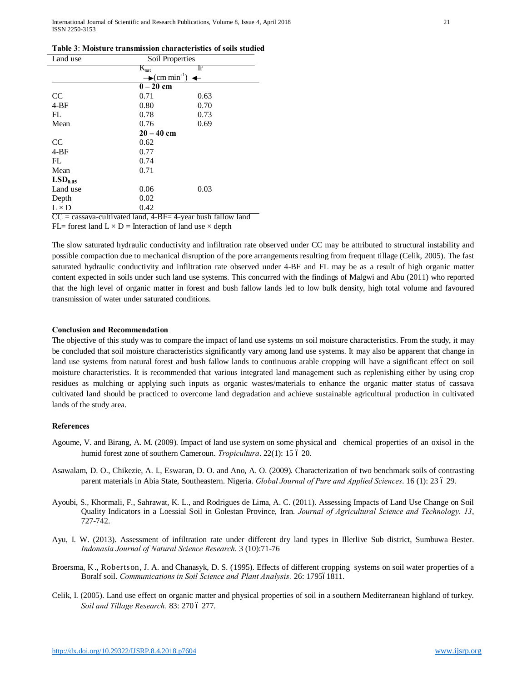| Land use            | Soil Properties                                       |                                                               |  |
|---------------------|-------------------------------------------------------|---------------------------------------------------------------|--|
|                     | $K_{\text{sat}}$                                      | Ir                                                            |  |
|                     | $\rightarrow$ (cm min <sup>-1</sup> )<br>$\leftarrow$ |                                                               |  |
|                     | $0 - 20$ cm                                           |                                                               |  |
| <sub>CC</sub>       | 0.71                                                  | 0.63                                                          |  |
| $4-BF$              | 0.80                                                  | 0.70                                                          |  |
| FL.                 | 0.78                                                  | 0.73                                                          |  |
| Mean                | 0.76                                                  | 0.69                                                          |  |
|                     | $20 - 40$ cm                                          |                                                               |  |
| <sub>CC</sub>       | 0.62                                                  |                                                               |  |
| $4-BF$              | 0.77                                                  |                                                               |  |
| FL.                 | 0.74                                                  |                                                               |  |
| Mean                | 0.71                                                  |                                                               |  |
| LSD <sub>0.05</sub> |                                                       |                                                               |  |
| Land use            | 0.06                                                  | 0.03                                                          |  |
| Depth               | 0.02                                                  |                                                               |  |
| $L \times D$        | 0.42                                                  |                                                               |  |
|                     |                                                       | $CC =$ cassava-cultivated land, 4-BF= 4-vear bush fallow land |  |

FL= forest land  $L \times D$  = Interaction of land use  $\times$  depth

The slow saturated hydraulic conductivity and infiltration rate observed under CC may be attributed to structural instability and possible compaction due to mechanical disruption of the pore arrangements resulting from frequent tillage (Celik, 2005). The fast saturated hydraulic conductivity and infiltration rate observed under 4-BF and FL may be as a result of high organic matter content expected in soils under such land use systems. This concurred with the findings of Malgwi and Abu (2011) who reported that the high level of organic matter in forest and bush fallow lands led to low bulk density, high total volume and favoured transmission of water under saturated conditions.

#### **Conclusion and Recommendation**

The objective of this study was to compare the impact of land use systems on soil moisture characteristics. From the study, it may be concluded that soil moisture characteristics significantly vary among land use systems. It may also be apparent that change in land use systems from natural forest and bush fallow lands to continuous arable cropping will have a significant effect on soil moisture characteristics. It is recommended that various integrated land management such as replenishing either by using crop residues as mulching or applying such inputs as organic wastes/materials to enhance the organic matter status of cassava cultivated land should be practiced to overcome land degradation and achieve sustainable agricultural production in cultivated lands of the study area.

#### **References**

- Agoume, V. and Birang, A. M. (2009). Impact of land use system on some physical and chemical properties of an oxisol in the humid forest zone of southern Cameroun. *Tropicultura*. 22(1): 15 ó 20.
- Asawalam, D. O., Chikezie, A. I., Eswaran, D. O. and Ano, A. O. (2009). Characterization of two benchmark soils of contrasting parent materials in Abia State, Southeastern. Nigeria. *Global Journal of Pure and Applied Sciences*. 16 (1): 23 ó 29.
- Ayoubi, S., Khormali, F., Sahrawat, K. L., and Rodrigues de Lima, A. C. (2011). Assessing Impacts of Land Use Change on Soil Quality Indicators in a Loessial Soil in Golestan Province, Iran. *Journal of Agricultural Science and Technology. 13*, 727-742.
- Ayu, I. W. (2013). Assessment of infiltration rate under different dry land types in Illerlive Sub district, Sumbuwa Bester. *Indonasia Journal of Natural Science Research*. 3 (10):71-76
- Broersma, K., Robertson, J. A. and Chanasyk, D. S. (1995). Effects of different cropping systems on soil water properties of a Boralf soil. *Communications in Soil Science and Plant Analysis.* 26: 179561811.
- Celik, I. (2005). Land use effect on organic matter and physical properties of soil in a southern Mediterranean highland of turkey. Soil and Tillage Research. 83: 270 6 277.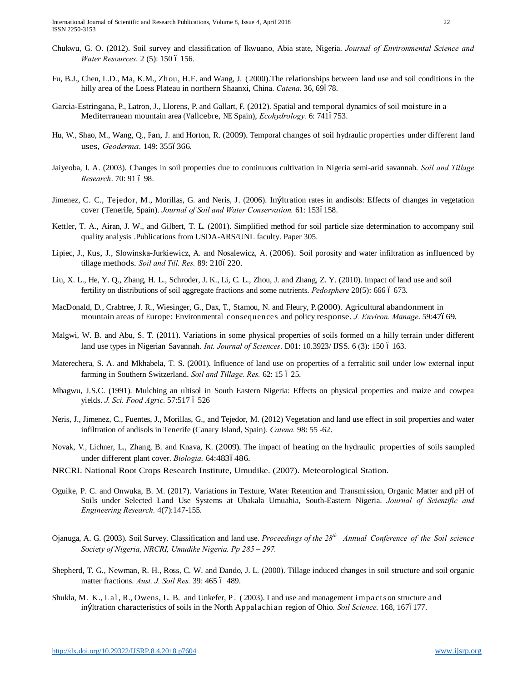- Chukwu, G. O. (2012). Soil survey and classification of Ikwuano, Abia state, Nigeria. *Journal of Environmental Science and Water Resources.* 2 (5): 150 ó 156.
- Fu, B.J., Chen, L.D., Ma, K.M., Zhou, H.F. and Wang, J. ( 2000).The relationships between land use and soil conditions in the hilly area of the Loess Plateau in northern Shaanxi, China. *Catena*. 36, 69678.
- Garcia-Estringana, P., Latron, J., Llorens, P. and Gallart, F. (2012). Spatial and temporal dynamics of soil moisture in a Mediterranean mountain area (Vallcebre, NE Spain), *Ecohydrology*. 6: 7416753.
- Hu, W., Shao, M., Wang, Q., Fan, J. and Horton, R. (2009). Temporal changes of soil hydraulic properties under different land uses, *Geoderma*. 149: 3556366.
- Jaiyeoba, I. A. (2003). Changes in soil properties due to continuous cultivation in Nigeria semi-arid savannah. *Soil and Tillage Research.* 70: 91 ó 98.
- Jimenez, C. C., Tejedor, M., Morillas, G. and Neris, J. (2006). Infiltration rates in andisols: Effects of changes in vegetation cover (Tenerife, Spain). *Journal of Soil and Water Conservation*. 61: 1536158.
- Kettler, T. A., Airan, J. W., and Gilbert, T. L. (2001). Simplified method for soil particle size determination to accompany soil quality analysis .Publications from USDA-ARS/UNL faculty. Paper 305.
- Lipiec, J., Kus, J., Slowinska-Jurkiewicz, A. and Nosalewicz, A. (2006). Soil porosity and water infiltration as influenced by tillage methods. *Soil and Till. Res.* 89: 2106220.
- Liu, X. L., He, Y. Q., Zhang, H. L., Schroder, J. K., Li, C. L., Zhou, J. and Zhang, Z. Y. (2010). Impact of land use and soil fertility on distributions of soil aggregate fractions and some nutrients. *Pedosphere* 20(5): 666 6 673.
- MacDonald, D., Crabtree, J. R., Wiesinger, G., Dax, T., Stamou, N. and Fleury, P.(2000). Agricultural abandonment in mountain areas of Europe: Environmental consequences and policy response. *J. Environ. Manage*. 59:47669.
- Malgwi, W. B. and Abu, S. T. (2011). Variations in some physical properties of soils formed on a hilly terrain under different land use types in Nigerian Savannah. *Int. Journal of Sciences*. D01: 10.3923/ USS. 6 (3): 150 6 163.
- Materechera, S. A. and Mkhabela, T. S. (2001). Influence of land use on properties of a ferralitic soil under low external input farming in Southern Switzerland. *Soil and Tillage. Res.* 62: 15 ó 25.
- Mbagwu, J.S.C. (1991). Mulching an ultisol in South Eastern Nigeria: Effects on physical properties and maize and cowpea yields. *J. Sci. Food Agric.* 57:517 6 526
- Neris, J., Jimenez, C., Fuentes, J., Morillas, G., and Tejedor, M. (2012) Vegetation and land use effect in soil properties and water infiltration of andisols in Tenerife (Canary Island, Spain). *Catena.* 98: 55 -62.
- Novak, V., Lichner, L., Zhang, B. and Knava, K. (2009). The impact of heating on the hydraulic properties of soils sampled under different plant cover. *Biologia*. 64:4836486.
- NRCRI. National Root Crops Research Institute, Umudike. (2007). Meteorological Station.
- Oguike, P. C. and Onwuka, B. M. (2017). Variations in Texture, Water Retention and Transmission, Organic Matter and pH of Soils under Selected Land Use Systems at Ubakala Umuahia, South-Eastern Nigeria. *Journal of Scientific and Engineering Research.* 4(7):147-155.
- Ojanuga, A. G. (2003). Soil Survey. Classification and land use. *Proceedings of the 28th Annual Conference of the Soil science Society of Nigeria, NRCRI, Umudike Nigeria. Pp 285 – 297.*
- Shepherd, T. G., Newman, R. H., Ross, C. W. and Dando, J. L. (2000). Tillage induced changes in soil structure and soil organic matter fractions. *Aust. J. Soil Res.* 39: 465 ó 489.
- Shukla, M. K., Lal, R., Owens, L. B. and Unkefer, P. (2003). Land use and management impacts on structure and in£Itration characteristics of soils in the North Appalachian region of Ohio. *Soil Science*. 168, 1676177.